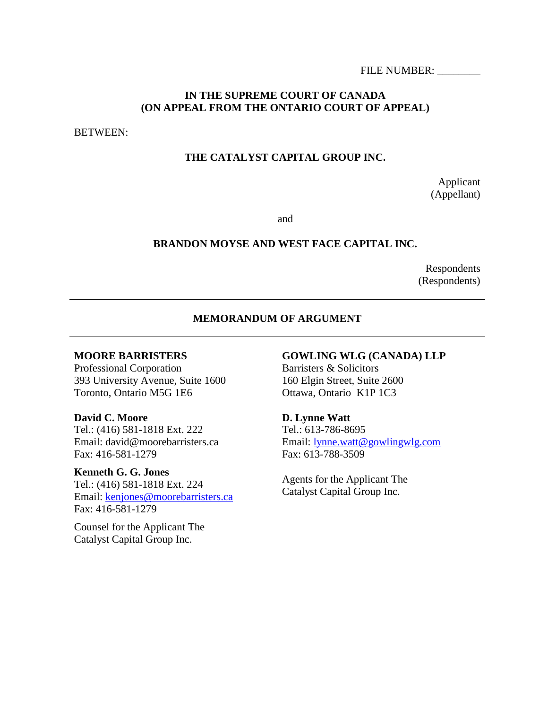FILE NUMBER:

# **IN THE SUPREME COURT OF CANADA (ON APPEAL FROM THE ONTARIO COURT OF APPEAL)**

BETWEEN:

# **THE CATALYST CAPITAL GROUP INC.**

Applicant (Appellant)

and

#### **BRANDON MOYSE AND WEST FACE CAPITAL INC.**

Respondents (Respondents)

#### **MEMORANDUM OF ARGUMENT**

#### **MOORE BARRISTERS**

Professional Corporation 393 University Avenue, Suite 1600 Toronto, Ontario M5G 1E6

**David C. Moore** Tel.: (416) 581-1818 Ext. 222 Email: david@moorebarristers.ca Fax: 416-581-1279

**Kenneth G. G. Jones** Tel.: (416) 581-1818 Ext. 224 Email: [kenjones@moorebarristers.ca](mailto:kenjones@moorebarristers.ca) Fax: 416-581-1279

Counsel for the Applicant The Catalyst Capital Group Inc.

# **GOWLING WLG (CANADA) LLP**

Barristers & Solicitors 160 Elgin Street, Suite 2600 Ottawa, Ontario K1P 1C3

**D. Lynne Watt** 

Tel.: 613-786-8695 Email: [lynne.watt@gowlingwlg.com](mailto:lynne.watt@gowlingwlg.com) Fax: 613-788-3509

Agents for the Applicant The Catalyst Capital Group Inc.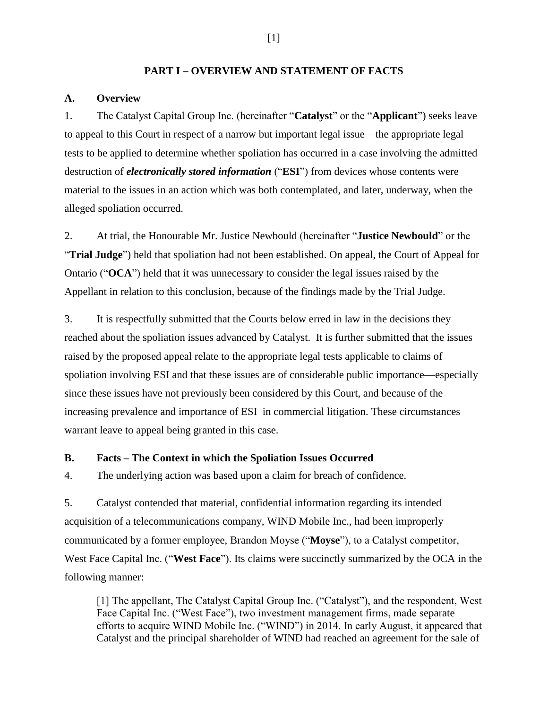#### **PART I – OVERVIEW AND STATEMENT OF FACTS**

#### **A. Overview**

1. The Catalyst Capital Group Inc. (hereinafter "**Catalyst**" or the "**Applicant**") seeks leave to appeal to this Court in respect of a narrow but important legal issue—the appropriate legal tests to be applied to determine whether spoliation has occurred in a case involving the admitted destruction of *electronically stored information* ("**ESI**") from devices whose contents were material to the issues in an action which was both contemplated, and later, underway, when the alleged spoliation occurred.

2. At trial, the Honourable Mr. Justice Newbould (hereinafter "**Justice Newbould**" or the "**Trial Judge**") held that spoliation had not been established. On appeal, the Court of Appeal for Ontario ("**OCA**") held that it was unnecessary to consider the legal issues raised by the Appellant in relation to this conclusion, because of the findings made by the Trial Judge.

3. It is respectfully submitted that the Courts below erred in law in the decisions they reached about the spoliation issues advanced by Catalyst. It is further submitted that the issues raised by the proposed appeal relate to the appropriate legal tests applicable to claims of spoliation involving ESI and that these issues are of considerable public importance—especially since these issues have not previously been considered by this Court, and because of the increasing prevalence and importance of ESI in commercial litigation. These circumstances warrant leave to appeal being granted in this case.

#### **B. Facts – The Context in which the Spoliation Issues Occurred**

4. The underlying action was based upon a claim for breach of confidence.

5. Catalyst contended that material, confidential information regarding its intended acquisition of a telecommunications company, WIND Mobile Inc., had been improperly communicated by a former employee, Brandon Moyse ("**Moyse**"), to a Catalyst competitor, West Face Capital Inc. ("**West Face**"). Its claims were succinctly summarized by the OCA in the following manner:

[1] The appellant, The Catalyst Capital Group Inc. ("Catalyst"), and the respondent, West Face Capital Inc. ("West Face"), two investment management firms, made separate efforts to acquire WIND Mobile Inc. ("WIND") in 2014. In early August, it appeared that Catalyst and the principal shareholder of WIND had reached an agreement for the sale of

[1]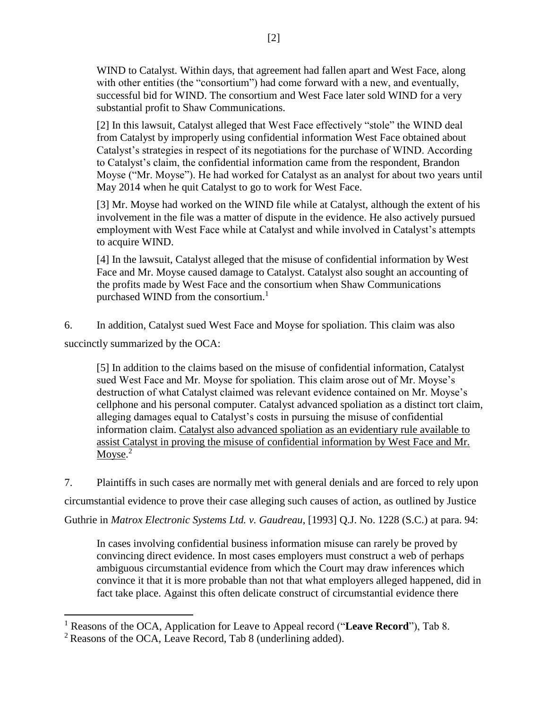WIND to Catalyst. Within days, that agreement had fallen apart and West Face, along with other entities (the "consortium") had come forward with a new, and eventually, successful bid for WIND. The consortium and West Face later sold WIND for a very substantial profit to Shaw Communications.

[2] In this lawsuit, Catalyst alleged that West Face effectively "stole" the WIND deal from Catalyst by improperly using confidential information West Face obtained about Catalyst's strategies in respect of its negotiations for the purchase of WIND. According to Catalyst's claim, the confidential information came from the respondent, Brandon Moyse ("Mr. Moyse"). He had worked for Catalyst as an analyst for about two years until May 2014 when he quit Catalyst to go to work for West Face.

[3] Mr. Moyse had worked on the WIND file while at Catalyst, although the extent of his involvement in the file was a matter of dispute in the evidence. He also actively pursued employment with West Face while at Catalyst and while involved in Catalyst's attempts to acquire WIND.

[4] In the lawsuit, Catalyst alleged that the misuse of confidential information by West Face and Mr. Moyse caused damage to Catalyst. Catalyst also sought an accounting of the profits made by West Face and the consortium when Shaw Communications purchased WIND from the consortium. $<sup>1</sup>$ </sup>

6. In addition, Catalyst sued West Face and Moyse for spoliation. This claim was also succinctly summarized by the OCA:

[5] In addition to the claims based on the misuse of confidential information, Catalyst sued West Face and Mr. Moyse for spoliation. This claim arose out of Mr. Moyse's destruction of what Catalyst claimed was relevant evidence contained on Mr. Moyse's cellphone and his personal computer. Catalyst advanced spoliation as a distinct tort claim, alleging damages equal to Catalyst's costs in pursuing the misuse of confidential information claim. Catalyst also advanced spoliation as an evidentiary rule available to assist Catalyst in proving the misuse of confidential information by West Face and Mr. Moyse.<sup>2</sup>

7. Plaintiffs in such cases are normally met with general denials and are forced to rely upon circumstantial evidence to prove their case alleging such causes of action, as outlined by Justice Guthrie in *Matrox Electronic Systems Ltd. v. Gaudreau*, [1993] Q.J. No. 1228 (S.C.) at para. 94:

In cases involving confidential business information misuse can rarely be proved by convincing direct evidence. In most cases employers must construct a web of perhaps ambiguous circumstantial evidence from which the Court may draw inferences which convince it that it is more probable than not that what employers alleged happened, did in fact take place. Against this often delicate construct of circumstantial evidence there

<sup>1</sup> Reasons of the OCA, Application for Leave to Appeal record ("**Leave Record**"), Tab 8.

<sup>2</sup> Reasons of the OCA, Leave Record, Tab 8 (underlining added).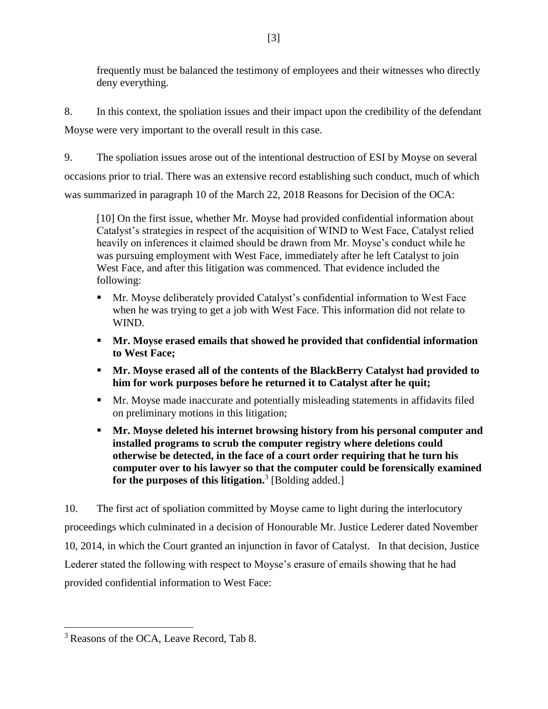frequently must be balanced the testimony of employees and their witnesses who directly deny everything.

8. In this context, the spoliation issues and their impact upon the credibility of the defendant Moyse were very important to the overall result in this case.

<span id="page-3-0"></span>9. The spoliation issues arose out of the intentional destruction of ESI by Moyse on several occasions prior to trial. There was an extensive record establishing such conduct, much of which was summarized in paragraph 10 of the March 22, 2018 Reasons for Decision of the OCA:

[10] On the first issue, whether Mr. Moyse had provided confidential information about Catalyst's strategies in respect of the acquisition of WIND to West Face, Catalyst relied heavily on inferences it claimed should be drawn from Mr. Moyse's conduct while he was pursuing employment with West Face, immediately after he left Catalyst to join West Face, and after this litigation was commenced. That evidence included the following:

- Mr. Moyse deliberately provided Catalyst's confidential information to West Face when he was trying to get a job with West Face. This information did not relate to WIND.
- **Mr. Moyse erased emails that showed he provided that confidential information to West Face;**
- **Mr. Moyse erased all of the contents of the BlackBerry Catalyst had provided to him for work purposes before he returned it to Catalyst after he quit;**
- Mr. Moyse made inaccurate and potentially misleading statements in affidavits filed on preliminary motions in this litigation;
- **Mr. Moyse deleted his internet browsing history from his personal computer and installed programs to scrub the computer registry where deletions could otherwise be detected, in the face of a court order requiring that he turn his computer over to his lawyer so that the computer could be forensically examined for the purposes of this litigation.**<sup>3</sup> [Bolding added.]

10. The first act of spoliation committed by Moyse came to light during the interlocutory proceedings which culminated in a decision of Honourable Mr. Justice Lederer dated November 10, 2014, in which the Court granted an injunction in favor of Catalyst. In that decision, Justice Lederer stated the following with respect to Moyse's erasure of emails showing that he had provided confidential information to West Face:

<sup>&</sup>lt;sup>3</sup> Reasons of the OCA, Leave Record, Tab 8.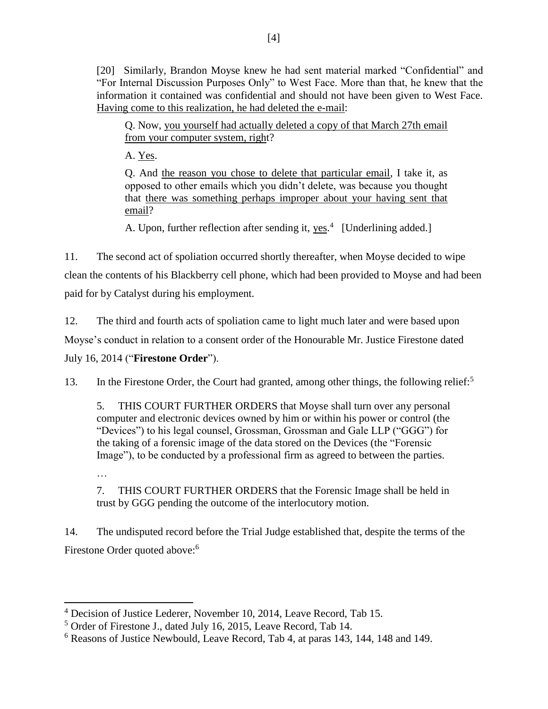[20] Similarly, Brandon Moyse knew he had sent material marked "Confidential" and "For Internal Discussion Purposes Only" to West Face. More than that, he knew that the information it contained was confidential and should not have been given to West Face. Having come to this realization, he had deleted the e-mail:

Q. Now, you yourself had actually deleted a copy of that March 27th email from your computer system, right?

A. Yes.

…

Q. And the reason you chose to delete that particular email, I take it, as opposed to other emails which you didn't delete, was because you thought that there was something perhaps improper about your having sent that email?

A. Upon, further reflection after sending it, yes.<sup>4</sup> [Underlining added.]

11. The second act of spoliation occurred shortly thereafter, when Moyse decided to wipe clean the contents of his Blackberry cell phone, which had been provided to Moyse and had been paid for by Catalyst during his employment.

12. The third and fourth acts of spoliation came to light much later and were based upon Moyse's conduct in relation to a consent order of the Honourable Mr. Justice Firestone dated July 16, 2014 ("**Firestone Order**").

13. In the Firestone Order, the Court had granted, among other things, the following relief:<sup>5</sup>

5. THIS COURT FURTHER ORDERS that Moyse shall turn over any personal computer and electronic devices owned by him or within his power or control (the "Devices") to his legal counsel, Grossman, Grossman and Gale LLP ("GGG") for the taking of a forensic image of the data stored on the Devices (the "Forensic Image"), to be conducted by a professional firm as agreed to between the parties.

7. THIS COURT FURTHER ORDERS that the Forensic Image shall be held in trust by GGG pending the outcome of the interlocutory motion.

14. The undisputed record before the Trial Judge established that, despite the terms of the Firestone Order quoted above:<sup>6</sup>

 $\overline{\phantom{a}}$ <sup>4</sup> Decision of Justice Lederer, November 10, 2014, Leave Record, Tab 15.

<sup>5</sup> Order of Firestone J., dated July 16, 2015, Leave Record, Tab 14.

<sup>6</sup> Reasons of Justice Newbould, Leave Record, Tab 4, at paras 143, 144, 148 and 149.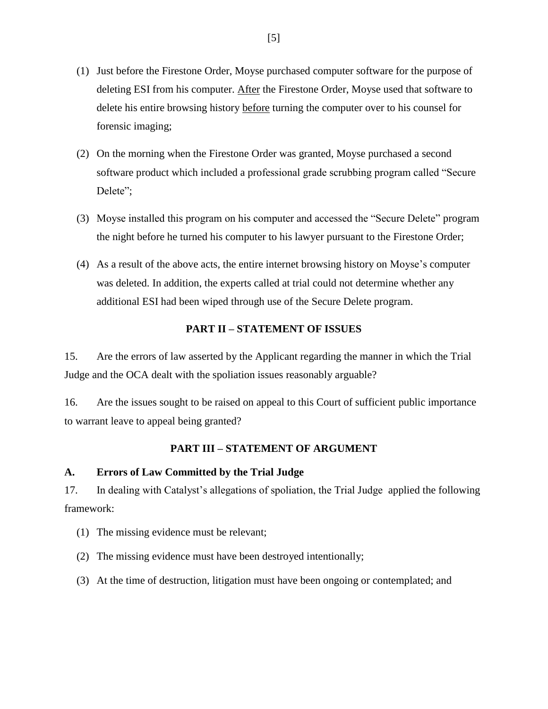- (1) Just before the Firestone Order, Moyse purchased computer software for the purpose of deleting ESI from his computer. After the Firestone Order, Moyse used that software to delete his entire browsing history before turning the computer over to his counsel for forensic imaging;
- (2) On the morning when the Firestone Order was granted, Moyse purchased a second software product which included a professional grade scrubbing program called "Secure Delete":
- (3) Moyse installed this program on his computer and accessed the "Secure Delete" program the night before he turned his computer to his lawyer pursuant to the Firestone Order;
- (4) As a result of the above acts, the entire internet browsing history on Moyse's computer was deleted. In addition, the experts called at trial could not determine whether any additional ESI had been wiped through use of the Secure Delete program.

# **PART II – STATEMENT OF ISSUES**

15. Are the errors of law asserted by the Applicant regarding the manner in which the Trial Judge and the OCA dealt with the spoliation issues reasonably arguable?

16. Are the issues sought to be raised on appeal to this Court of sufficient public importance to warrant leave to appeal being granted?

#### **PART III – STATEMENT OF ARGUMENT**

# **A. Errors of Law Committed by the Trial Judge**

<span id="page-5-0"></span>17. In dealing with Catalyst's allegations of spoliation, the Trial Judge applied the following framework:

(1) The missing evidence must be relevant;

(2) The missing evidence must have been destroyed intentionally;

(3) At the time of destruction, litigation must have been ongoing or contemplated; and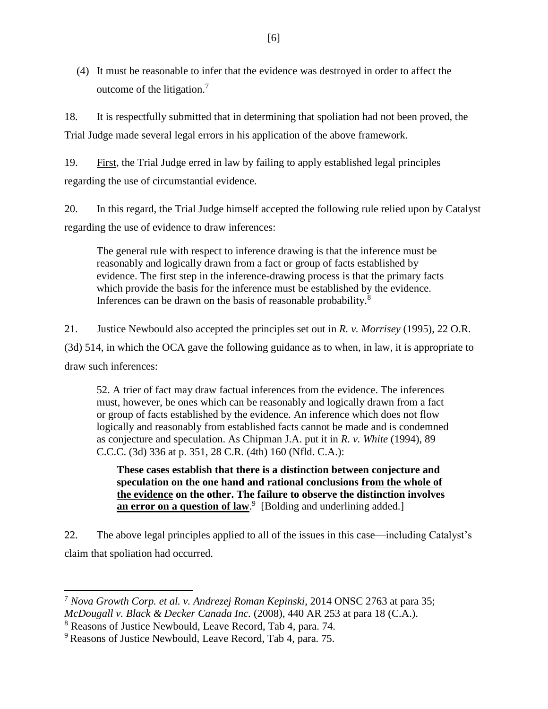(4) It must be reasonable to infer that the evidence was destroyed in order to affect the outcome of the litigation.<sup>7</sup>

18. It is respectfully submitted that in determining that spoliation had not been proved, the Trial Judge made several legal errors in his application of the above framework.

19. First, the Trial Judge erred in law by failing to apply established legal principles regarding the use of circumstantial evidence.

20. In this regard, the Trial Judge himself accepted the following rule relied upon by Catalyst regarding the use of evidence to draw inferences:

The general rule with respect to inference drawing is that the inference must be reasonably and logically drawn from a fact or group of facts established by evidence. The first step in the inference-drawing process is that the primary facts which provide the basis for the inference must be established by the evidence. Inferences can be drawn on the basis of reasonable probability.<sup>8</sup>

21. Justice Newbould also accepted the principles set out in *R. v. Morrisey* (1995), 22 O.R. (3d) 514, in which the OCA gave the following guidance as to when, in law, it is appropriate to draw such inferences:

52. A trier of fact may draw factual inferences from the evidence. The inferences must, however, be ones which can be reasonably and logically drawn from a fact or group of facts established by the evidence. An inference which does not flow logically and reasonably from established facts cannot be made and is condemned as conjecture and speculation. As Chipman J.A. put it in *R. v. White* (1994), 89 C.C.C. (3d) 336 at p. 351, 28 C.R. (4th) 160 (Nfld. C.A.):

**These cases establish that there is a distinction between conjecture and speculation on the one hand and rational conclusions from the whole of the evidence on the other. The failure to observe the distinction involves**  an error on a question of law.<sup>9</sup> [Bolding and underlining added.]

22. The above legal principles applied to all of the issues in this case—including Catalyst's claim that spoliation had occurred.

 $\overline{a}$ 

<sup>7</sup> *Nova Growth Corp. et al. v. Andrezej Roman Kepinski*, 2014 ONSC 2763 at para 35; *McDougall v. Black & Decker Canada Inc.* (2008), 440 AR 253 at para 18 (C.A.).

<sup>8</sup> Reasons of Justice Newbould, Leave Record, Tab 4, para. 74.

<sup>9</sup> Reasons of Justice Newbould, Leave Record, Tab 4, para. 75.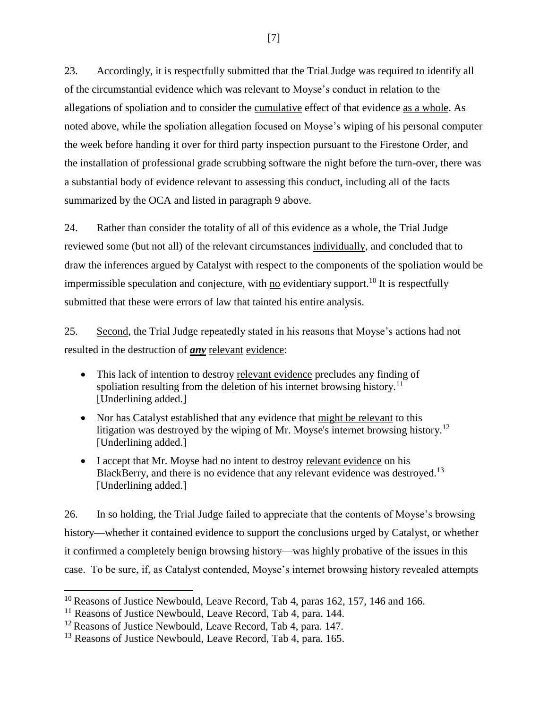23. Accordingly, it is respectfully submitted that the Trial Judge was required to identify all of the circumstantial evidence which was relevant to Moyse's conduct in relation to the allegations of spoliation and to consider the cumulative effect of that evidence as a whole. As noted above, while the spoliation allegation focused on Moyse's wiping of his personal computer the week before handing it over for third party inspection pursuant to the Firestone Order, and the installation of professional grade scrubbing software the night before the turn-over, there was a substantial body of evidence relevant to assessing this conduct, including all of the facts summarized by the OCA and listed in paragraph [9](#page-3-0) above.

24. Rather than consider the totality of all of this evidence as a whole, the Trial Judge reviewed some (but not all) of the relevant circumstances individually, and concluded that to draw the inferences argued by Catalyst with respect to the components of the spoliation would be impermissible speculation and conjecture, with  $\underline{no}$  evidentiary support.<sup>10</sup> It is respectfully submitted that these were errors of law that tainted his entire analysis.

25. Second, the Trial Judge repeatedly stated in his reasons that Moyse's actions had not resulted in the destruction of *any* relevant evidence:

- This lack of intention to destroy relevant evidence precludes any finding of spoliation resulting from the deletion of his internet browsing history.<sup>11</sup> [Underlining added.]
- Nor has Catalyst established that any evidence that might be relevant to this litigation was destroyed by the wiping of Mr. Moyse's internet browsing history.<sup>12</sup> [Underlining added.]
- I accept that Mr. Moyse had no intent to destroy relevant evidence on his BlackBerry, and there is no evidence that any relevant evidence was destroyed.<sup>13</sup> [Underlining added.]

26. In so holding, the Trial Judge failed to appreciate that the contents of Moyse's browsing history—whether it contained evidence to support the conclusions urged by Catalyst, or whether it confirmed a completely benign browsing history—was highly probative of the issues in this case. To be sure, if, as Catalyst contended, Moyse's internet browsing history revealed attempts

 $\overline{a}$ 

 $10$  Reasons of Justice Newbould, Leave Record, Tab 4, paras 162, 157, 146 and 166.

<sup>&</sup>lt;sup>11</sup> Reasons of Justice Newbould, Leave Record, Tab 4, para. 144.

<sup>&</sup>lt;sup>12</sup> Reasons of Justice Newbould, Leave Record, Tab 4, para. 147.

<sup>&</sup>lt;sup>13</sup> Reasons of Justice Newbould, Leave Record, Tab 4, para. 165.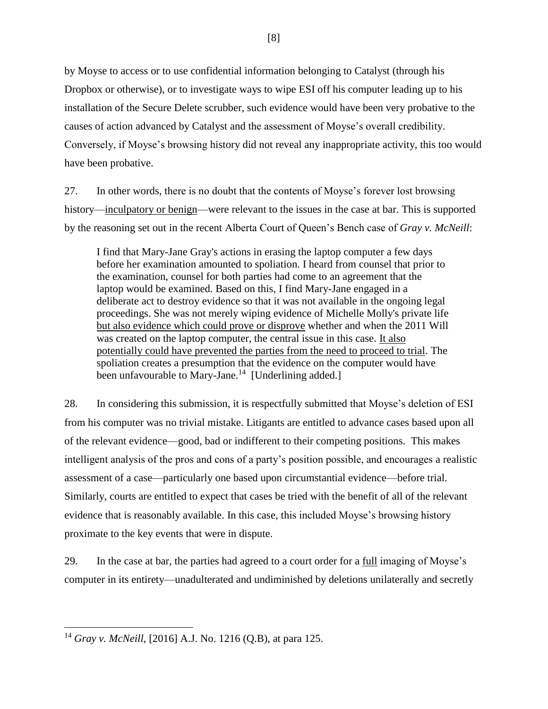by Moyse to access or to use confidential information belonging to Catalyst (through his Dropbox or otherwise), or to investigate ways to wipe ESI off his computer leading up to his installation of the Secure Delete scrubber, such evidence would have been very probative to the causes of action advanced by Catalyst and the assessment of Moyse's overall credibility. Conversely, if Moyse's browsing history did not reveal any inappropriate activity, this too would have been probative.

27. In other words, there is no doubt that the contents of Moyse's forever lost browsing history—inculpatory or benign—were relevant to the issues in the case at bar. This is supported by the reasoning set out in the recent Alberta Court of Queen's Bench case of *Gray v. McNeill*:

I find that Mary-Jane Gray's actions in erasing the laptop computer a few days before her examination amounted to spoliation. I heard from counsel that prior to the examination, counsel for both parties had come to an agreement that the laptop would be examined. Based on this, I find Mary-Jane engaged in a deliberate act to destroy evidence so that it was not available in the ongoing legal proceedings. She was not merely wiping evidence of Michelle Molly's private life but also evidence which could prove or disprove whether and when the 2011 Will was created on the laptop computer, the central issue in this case. It also potentially could have prevented the parties from the need to proceed to trial. The spoliation creates a presumption that the evidence on the computer would have been unfavourable to Mary-Jane.<sup>14</sup> [Underlining added.]

28. In considering this submission, it is respectfully submitted that Moyse's deletion of ESI from his computer was no trivial mistake. Litigants are entitled to advance cases based upon all of the relevant evidence—good, bad or indifferent to their competing positions. This makes intelligent analysis of the pros and cons of a party's position possible, and encourages a realistic assessment of a case—particularly one based upon circumstantial evidence—before trial. Similarly, courts are entitled to expect that cases be tried with the benefit of all of the relevant evidence that is reasonably available. In this case, this included Moyse's browsing history proximate to the key events that were in dispute.

29. In the case at bar, the parties had agreed to a court order for a full imaging of Moyse's computer in its entirety—unadulterated and undiminished by deletions unilaterally and secretly

<sup>14</sup> *Gray v. McNeill*, [2016] A.J. No. 1216 (Q.B), at para 125.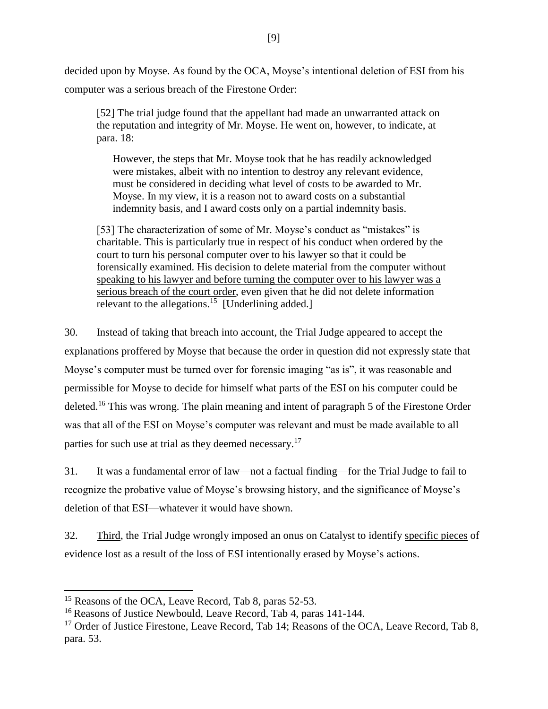decided upon by Moyse. As found by the OCA, Moyse's intentional deletion of ESI from his computer was a serious breach of the Firestone Order:

[52] The trial judge found that the appellant had made an unwarranted attack on the reputation and integrity of Mr. Moyse. He went on, however, to indicate, at para. 18:

However, the steps that Mr. Moyse took that he has readily acknowledged were mistakes, albeit with no intention to destroy any relevant evidence, must be considered in deciding what level of costs to be awarded to Mr. Moyse. In my view, it is a reason not to award costs on a substantial indemnity basis, and I award costs only on a partial indemnity basis.

[53] The characterization of some of Mr. Moyse's conduct as "mistakes" is charitable. This is particularly true in respect of his conduct when ordered by the court to turn his personal computer over to his lawyer so that it could be forensically examined. His decision to delete material from the computer without speaking to his lawyer and before turning the computer over to his lawyer was a serious breach of the court order, even given that he did not delete information relevant to the allegations.<sup>15</sup> [Underlining added.]

30. Instead of taking that breach into account, the Trial Judge appeared to accept the explanations proffered by Moyse that because the order in question did not expressly state that Moyse's computer must be turned over for forensic imaging "as is", it was reasonable and permissible for Moyse to decide for himself what parts of the ESI on his computer could be deleted.<sup>16</sup> This was wrong. The plain meaning and intent of paragraph 5 of the Firestone Order was that all of the ESI on Moyse's computer was relevant and must be made available to all parties for such use at trial as they deemed necessary.<sup>17</sup>

31. It was a fundamental error of law—not a factual finding—for the Trial Judge to fail to recognize the probative value of Moyse's browsing history, and the significance of Moyse's deletion of that ESI—whatever it would have shown.

32. Third, the Trial Judge wrongly imposed an onus on Catalyst to identify specific pieces of evidence lost as a result of the loss of ESI intentionally erased by Moyse's actions.

 $\overline{a}$ 

<sup>&</sup>lt;sup>15</sup> Reasons of the OCA, Leave Record, Tab 8, paras 52-53.

<sup>&</sup>lt;sup>16</sup> Reasons of Justice Newbould, Leave Record, Tab 4, paras 141-144.

<sup>&</sup>lt;sup>17</sup> Order of Justice Firestone, Leave Record, Tab 14; Reasons of the OCA, Leave Record, Tab 8, para. 53.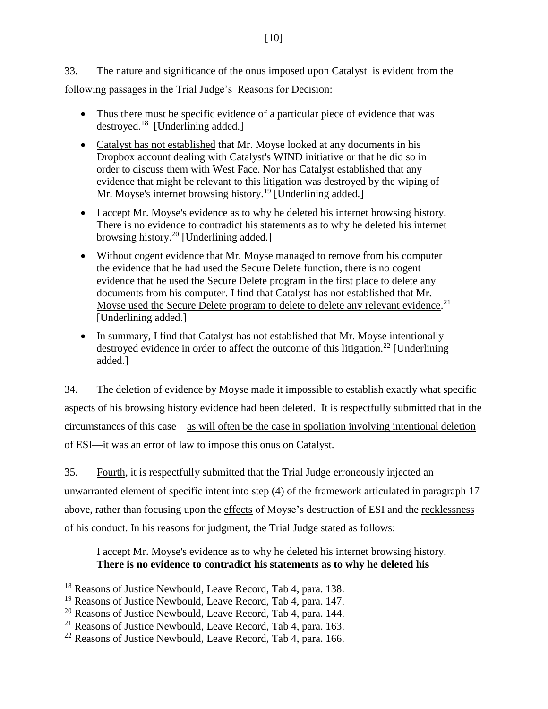33. The nature and significance of the onus imposed upon Catalyst is evident from the following passages in the Trial Judge's Reasons for Decision:

- Thus there must be specific evidence of a particular piece of evidence that was destroyed.<sup>18</sup> [Underlining added.]
- Catalyst has not established that Mr. Moyse looked at any documents in his Dropbox account dealing with Catalyst's WIND initiative or that he did so in order to discuss them with West Face. Nor has Catalyst established that any evidence that might be relevant to this litigation was destroyed by the wiping of Mr. Moyse's internet browsing history.<sup>19</sup> [Underlining added.]
- I accept Mr. Moyse's evidence as to why he deleted his internet browsing history. There is no evidence to contradict his statements as to why he deleted his internet browsing history.<sup>20</sup> [Underlining added.]
- Without cogent evidence that Mr. Moyse managed to remove from his computer the evidence that he had used the Secure Delete function, there is no cogent evidence that he used the Secure Delete program in the first place to delete any documents from his computer. I find that Catalyst has not established that Mr. Moyse used the Secure Delete program to delete to delete any relevant evidence.<sup>21</sup> [Underlining added.]
- In summary, I find that Catalyst has not established that Mr. Moyse intentionally destroyed evidence in order to affect the outcome of this litigation.<sup>22</sup> [Underlining added.]

34. The deletion of evidence by Moyse made it impossible to establish exactly what specific aspects of his browsing history evidence had been deleted. It is respectfully submitted that in the circumstances of this case—as will often be the case in spoliation involving intentional deletion of ESI—it was an error of law to impose this onus on Catalyst.

35. Fourth, it is respectfully submitted that the Trial Judge erroneously injected an unwarranted element of specific intent into step (4) of the framework articulated in paragraph [17](#page-5-0) above, rather than focusing upon the effects of Moyse's destruction of ESI and the recklessness of his conduct. In his reasons for judgment, the Trial Judge stated as follows:

I accept Mr. Moyse's evidence as to why he deleted his internet browsing history. **There is no evidence to contradict his statements as to why he deleted his** 

l

<sup>&</sup>lt;sup>18</sup> Reasons of Justice Newbould, Leave Record, Tab 4, para. 138.

<sup>19</sup> Reasons of Justice Newbould, Leave Record, Tab 4, para. 147.

 $20$  Reasons of Justice Newbould, Leave Record, Tab 4, para. 144.

 $21$  Reasons of Justice Newbould, Leave Record, Tab 4, para. 163.

 $22$  Reasons of Justice Newbould, Leave Record, Tab 4, para. 166.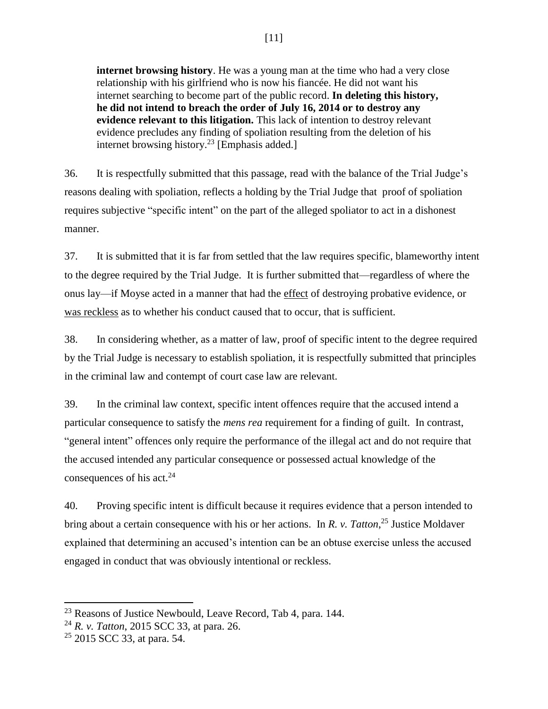# [11]

**internet browsing history**. He was a young man at the time who had a very close relationship with his girlfriend who is now his fiancée. He did not want his internet searching to become part of the public record. **In deleting this history, he did not intend to breach the order of July 16, 2014 or to destroy any evidence relevant to this litigation.** This lack of intention to destroy relevant evidence precludes any finding of spoliation resulting from the deletion of his internet browsing history.<sup>23</sup> [Emphasis added.]

36. It is respectfully submitted that this passage, read with the balance of the Trial Judge's reasons dealing with spoliation, reflects a holding by the Trial Judge that proof of spoliation requires subjective "specific intent" on the part of the alleged spoliator to act in a dishonest manner.

37. It is submitted that it is far from settled that the law requires specific, blameworthy intent to the degree required by the Trial Judge. It is further submitted that—regardless of where the onus lay—if Moyse acted in a manner that had the effect of destroying probative evidence, or was reckless as to whether his conduct caused that to occur, that is sufficient.

38. In considering whether, as a matter of law, proof of specific intent to the degree required by the Trial Judge is necessary to establish spoliation, it is respectfully submitted that principles in the criminal law and contempt of court case law are relevant.

39. In the criminal law context, specific intent offences require that the accused intend a particular consequence to satisfy the *mens rea* requirement for a finding of guilt. In contrast, "general intent" offences only require the performance of the illegal act and do not require that the accused intended any particular consequence or possessed actual knowledge of the consequences of his act. $24$ 

40. Proving specific intent is difficult because it requires evidence that a person intended to bring about a certain consequence with his or her actions. In *R. v. Tatton*, <sup>25</sup> Justice Moldaver explained that determining an accused's intention can be an obtuse exercise unless the accused engaged in conduct that was obviously intentional or reckless.

<sup>&</sup>lt;sup>23</sup> Reasons of Justice Newbould, Leave Record, Tab 4, para. 144.

<sup>24</sup> *R. v. Tatton*, 2015 SCC 33, at para. 26.

 $25$  2015 SCC 33, at para. 54.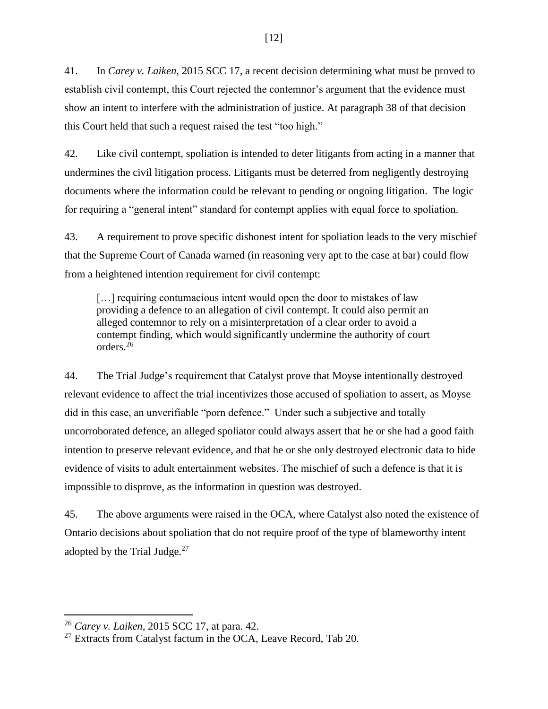41. In *Carey v. Laiken,* 2015 SCC 17, a recent decision determining what must be proved to establish civil contempt, this Court rejected the contemnor's argument that the evidence must show an intent to interfere with the administration of justice. At paragraph 38 of that decision this Court held that such a request raised the test "too high."

42. Like civil contempt, spoliation is intended to deter litigants from acting in a manner that undermines the civil litigation process. Litigants must be deterred from negligently destroying documents where the information could be relevant to pending or ongoing litigation. The logic for requiring a "general intent" standard for contempt applies with equal force to spoliation.

43. A requirement to prove specific dishonest intent for spoliation leads to the very mischief that the Supreme Court of Canada warned (in reasoning very apt to the case at bar) could flow from a heightened intention requirement for civil contempt:

[...] requiring contumacious intent would open the door to mistakes of law providing a defence to an allegation of civil contempt. It could also permit an alleged contemnor to rely on a misinterpretation of a clear order to avoid a contempt finding, which would significantly undermine the authority of court orders $26$ 

44. The Trial Judge's requirement that Catalyst prove that Moyse intentionally destroyed relevant evidence to affect the trial incentivizes those accused of spoliation to assert, as Moyse did in this case, an unverifiable "porn defence." Under such a subjective and totally uncorroborated defence, an alleged spoliator could always assert that he or she had a good faith intention to preserve relevant evidence, and that he or she only destroyed electronic data to hide evidence of visits to adult entertainment websites. The mischief of such a defence is that it is impossible to disprove, as the information in question was destroyed.

45. The above arguments were raised in the OCA, where Catalyst also noted the existence of Ontario decisions about spoliation that do not require proof of the type of blameworthy intent adopted by the Trial Judge. $27$ 

<sup>26</sup> *Carey v. Laiken,* 2015 SCC 17, at para. 42.

 $27$  Extracts from Catalyst factum in the OCA, Leave Record, Tab 20.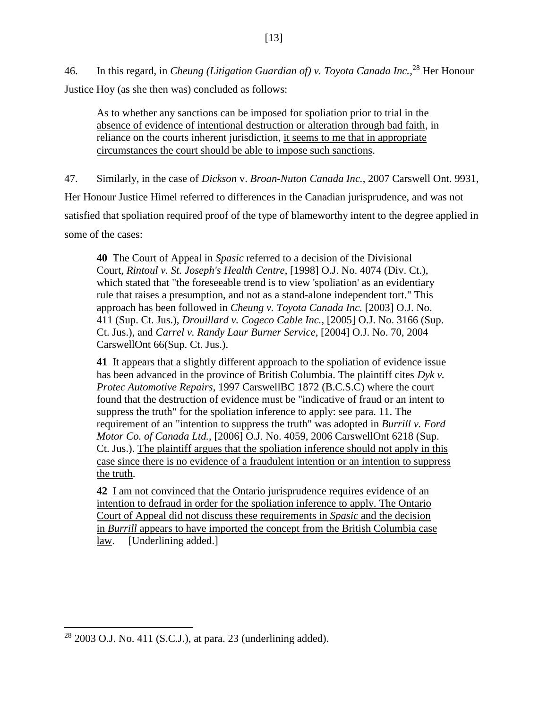46. In this regard, in *Cheung (Litigation Guardian of) v. Toyota Canada Inc.*, <sup>28</sup> Her Honour Justice Hoy (as she then was) concluded as follows:

As to whether any sanctions can be imposed for spoliation prior to trial in the absence of evidence of intentional destruction or alteration through bad faith, in reliance on the courts inherent jurisdiction, it seems to me that in appropriate circumstances the court should be able to impose such sanctions.

47. Similarly, in the case of *Dickson* v. *Broan-Nuton Canada Inc.*, 2007 Carswell Ont. 9931, Her Honour Justice Himel referred to differences in the Canadian jurisprudence, and was not satisfied that spoliation required proof of the type of blameworthy intent to the degree applied in some of the cases:

**40** The Court of Appeal in *Spasic* referred to a decision of the Divisional Court, *Rintoul v. St. Joseph's Health Centre*, [1998] O.J. No. 4074 (Div. Ct.), which stated that "the foreseeable trend is to view 'spoliation' as an evidentiary rule that raises a presumption, and not as a stand-alone independent tort." This approach has been followed in *Cheung v. Toyota Canada Inc.* [2003] O.J. No. 411 (Sup. Ct. Jus.), *Drouillard v. Cogeco Cable Inc.*, [2005] O.J. No. 3166 (Sup. Ct. Jus.), and *Carrel v. Randy Laur Burner Service*, [2004] O.J. No. 70, 2004 CarswellOnt 66(Sup. Ct. Jus.).

**41** It appears that a slightly different approach to the spoliation of evidence issue has been advanced in the province of British Columbia. The plaintiff cites *Dyk v. Protec Automotive Repairs*, 1997 CarswellBC 1872 (B.C.S.C) where the court found that the destruction of evidence must be "indicative of fraud or an intent to suppress the truth" for the spoliation inference to apply: see para. 11. The requirement of an "intention to suppress the truth" was adopted in *Burrill v. Ford Motor Co. of Canada Ltd.*, [2006] O.J. No. 4059, 2006 CarswellOnt 6218 (Sup. Ct. Jus.). The plaintiff argues that the spoliation inference should not apply in this case since there is no evidence of a fraudulent intention or an intention to suppress the truth.

**42** I am not convinced that the Ontario jurisprudence requires evidence of an intention to defraud in order for the spoliation inference to apply. The Ontario Court of Appeal did not discuss these requirements in *Spasic* and the decision in *Burrill* appears to have imported the concept from the British Columbia case law. [Underlining added.]

 $28$  2003 O.J. No. 411 (S.C.J.), at para. 23 (underlining added).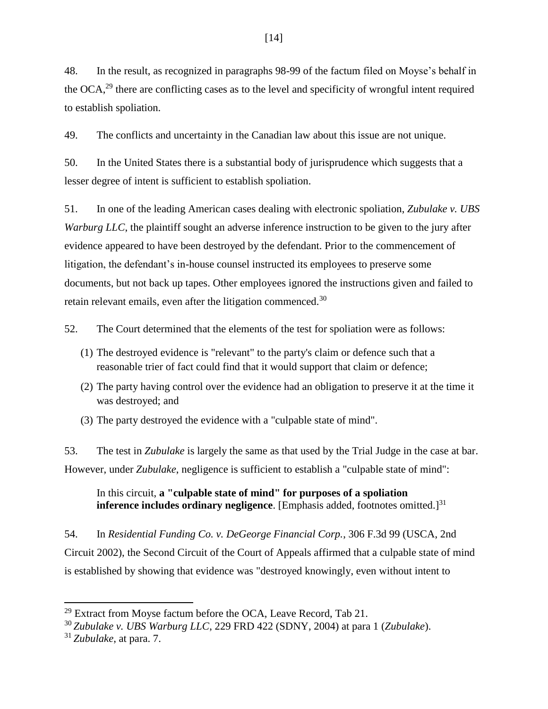48. In the result, as recognized in paragraphs 98-99 of the factum filed on Moyse's behalf in the  $OCA<sup>29</sup>$  there are conflicting cases as to the level and specificity of wrongful intent required to establish spoliation.

49. The conflicts and uncertainty in the Canadian law about this issue are not unique.

50. In the United States there is a substantial body of jurisprudence which suggests that a lesser degree of intent is sufficient to establish spoliation.

51. In one of the leading American cases dealing with electronic spoliation, *Zubulake v. UBS Warburg LLC*, the plaintiff sought an adverse inference instruction to be given to the jury after evidence appeared to have been destroyed by the defendant. Prior to the commencement of litigation, the defendant's in-house counsel instructed its employees to preserve some documents, but not back up tapes. Other employees ignored the instructions given and failed to retain relevant emails, even after the litigation commenced.<sup>30</sup>

52. The Court determined that the elements of the test for spoliation were as follows:

- (1) The destroyed evidence is "relevant" to the party's claim or defence such that a reasonable trier of fact could find that it would support that claim or defence;
- (2) The party having control over the evidence had an obligation to preserve it at the time it was destroyed; and
- (3) The party destroyed the evidence with a "culpable state of mind".

53. The test in *Zubulake* is largely the same as that used by the Trial Judge in the case at bar. However, under *Zubulake*, negligence is sufficient to establish a "culpable state of mind":

In this circuit, **a "culpable state of mind" for purposes of a spoliation inference includes ordinary negligence**. [Emphasis added, footnotes omitted.]<sup>31</sup>

54. In *Residential Funding Co. v. DeGeorge Financial Corp.*, 306 F.3d 99 (USCA, 2nd Circuit 2002), the Second Circuit of the Court of Appeals affirmed that a culpable state of mind is established by showing that evidence was "destroyed knowingly, even without intent to

 $\overline{\phantom{a}}$  $29$  Extract from Moyse factum before the OCA, Leave Record, Tab 21.

<sup>30</sup> *Zubulake v. UBS Warburg LLC*, 229 FRD 422 (SDNY, 2004) at para 1 (*Zubulake*).

<sup>31</sup> *Zubulake*, at para. 7.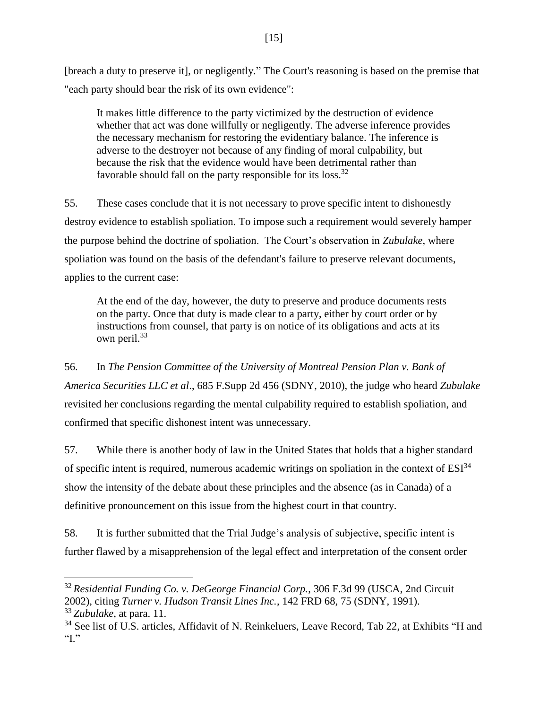[breach a duty to preserve it], or negligently." The Court's reasoning is based on the premise that "each party should bear the risk of its own evidence":

It makes little difference to the party victimized by the destruction of evidence whether that act was done willfully or negligently. The adverse inference provides the necessary mechanism for restoring the evidentiary balance. The inference is adverse to the destroyer not because of any finding of moral culpability, but because the risk that the evidence would have been detrimental rather than favorable should fall on the party responsible for its loss.<sup>32</sup>

55. These cases conclude that it is not necessary to prove specific intent to dishonestly destroy evidence to establish spoliation. To impose such a requirement would severely hamper the purpose behind the doctrine of spoliation. The Court's observation in *Zubulake*, where spoliation was found on the basis of the defendant's failure to preserve relevant documents, applies to the current case:

At the end of the day, however, the duty to preserve and produce documents rests on the party. Once that duty is made clear to a party, either by court order or by instructions from counsel, that party is on notice of its obligations and acts at its own peril.<sup>33</sup>

56. In *The Pension Committee of the University of Montreal Pension Plan v. Bank of America Securities LLC et al*., 685 F.Supp 2d 456 (SDNY, 2010), the judge who heard *Zubulake* revisited her conclusions regarding the mental culpability required to establish spoliation, and confirmed that specific dishonest intent was unnecessary.

57. While there is another body of law in the United States that holds that a higher standard of specific intent is required, numerous academic writings on spoliation in the context of  $ESI<sup>34</sup>$ show the intensity of the debate about these principles and the absence (as in Canada) of a definitive pronouncement on this issue from the highest court in that country.

58. It is further submitted that the Trial Judge's analysis of subjective, specific intent is further flawed by a misapprehension of the legal effect and interpretation of the consent order

l

<sup>32</sup> *Residential Funding Co. v. DeGeorge Financial Corp.*, 306 F.3d 99 (USCA, 2nd Circuit 2002), citing *Turner v. Hudson Transit Lines Inc.*, 142 FRD 68, 75 (SDNY, 1991). <sup>33</sup> *Zubulake*, at para. 11.

<sup>&</sup>lt;sup>34</sup> See list of U.S. articles, Affidavit of N. Reinkeluers, Leave Record, Tab 22, at Exhibits "H and  $T$ .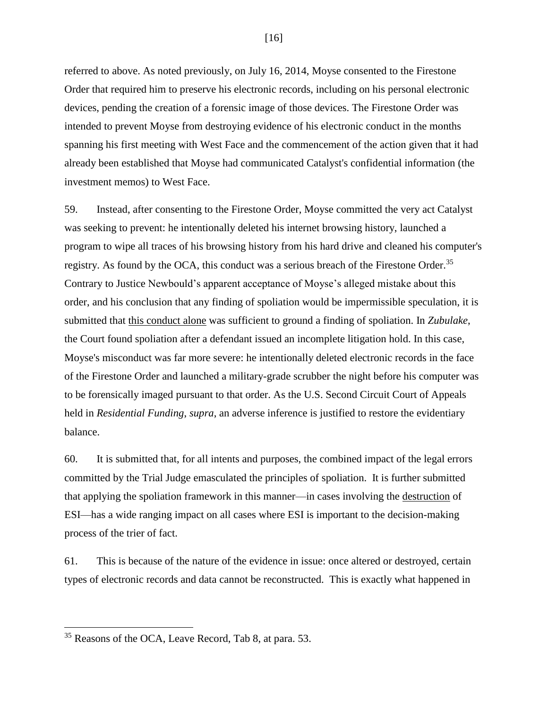referred to above. As noted previously, on July 16, 2014, Moyse consented to the Firestone Order that required him to preserve his electronic records, including on his personal electronic devices, pending the creation of a forensic image of those devices. The Firestone Order was intended to prevent Moyse from destroying evidence of his electronic conduct in the months spanning his first meeting with West Face and the commencement of the action given that it had already been established that Moyse had communicated Catalyst's confidential information (the investment memos) to West Face.

59. Instead, after consenting to the Firestone Order, Moyse committed the very act Catalyst was seeking to prevent: he intentionally deleted his internet browsing history, launched a program to wipe all traces of his browsing history from his hard drive and cleaned his computer's registry. As found by the OCA, this conduct was a serious breach of the Firestone Order.<sup>35</sup> Contrary to Justice Newbould's apparent acceptance of Moyse's alleged mistake about this order, and his conclusion that any finding of spoliation would be impermissible speculation, it is submitted that this conduct alone was sufficient to ground a finding of spoliation. In *Zubulake*, the Court found spoliation after a defendant issued an incomplete litigation hold. In this case, Moyse's misconduct was far more severe: he intentionally deleted electronic records in the face of the Firestone Order and launched a military-grade scrubber the night before his computer was to be forensically imaged pursuant to that order. As the U.S. Second Circuit Court of Appeals held in *Residential Funding*, *supra*, an adverse inference is justified to restore the evidentiary balance.

60. It is submitted that, for all intents and purposes, the combined impact of the legal errors committed by the Trial Judge emasculated the principles of spoliation. It is further submitted that applying the spoliation framework in this manner—in cases involving the destruction of ESI—has a wide ranging impact on all cases where ESI is important to the decision-making process of the trier of fact.

61. This is because of the nature of the evidence in issue: once altered or destroyed, certain types of electronic records and data cannot be reconstructed. This is exactly what happened in

 $\overline{\phantom{a}}$ 

[16]

<sup>&</sup>lt;sup>35</sup> Reasons of the OCA, Leave Record, Tab 8, at para. 53.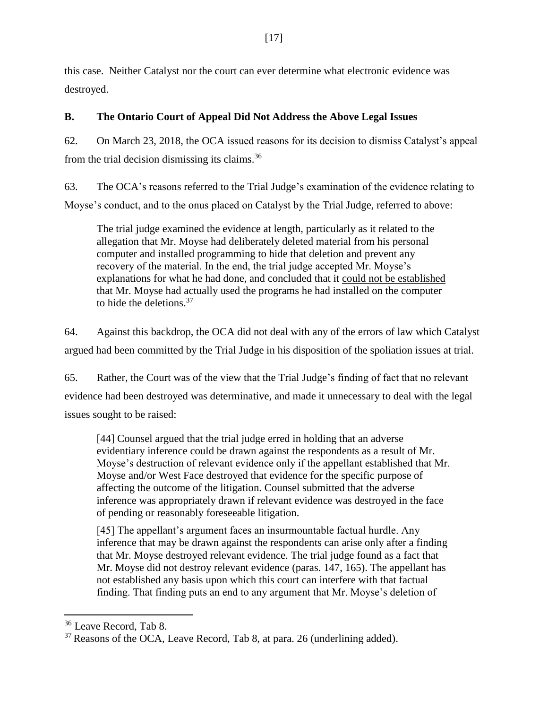this case. Neither Catalyst nor the court can ever determine what electronic evidence was destroyed.

# **B. The Ontario Court of Appeal Did Not Address the Above Legal Issues**

62. On March 23, 2018, the OCA issued reasons for its decision to dismiss Catalyst's appeal from the trial decision dismissing its claims.<sup>36</sup>

63. The OCA's reasons referred to the Trial Judge's examination of the evidence relating to Moyse's conduct, and to the onus placed on Catalyst by the Trial Judge, referred to above:

The trial judge examined the evidence at length, particularly as it related to the allegation that Mr. Moyse had deliberately deleted material from his personal computer and installed programming to hide that deletion and prevent any recovery of the material. In the end, the trial judge accepted Mr. Moyse's explanations for what he had done, and concluded that it could not be established that Mr. Moyse had actually used the programs he had installed on the computer to hide the deletions.  $37$ 

64. Against this backdrop, the OCA did not deal with any of the errors of law which Catalyst argued had been committed by the Trial Judge in his disposition of the spoliation issues at trial.

65. Rather, the Court was of the view that the Trial Judge's finding of fact that no relevant evidence had been destroyed was determinative, and made it unnecessary to deal with the legal issues sought to be raised:

[44] Counsel argued that the trial judge erred in holding that an adverse evidentiary inference could be drawn against the respondents as a result of Mr. Moyse's destruction of relevant evidence only if the appellant established that Mr. Moyse and/or West Face destroyed that evidence for the specific purpose of affecting the outcome of the litigation. Counsel submitted that the adverse inference was appropriately drawn if relevant evidence was destroyed in the face of pending or reasonably foreseeable litigation.

[45] The appellant's argument faces an insurmountable factual hurdle. Any inference that may be drawn against the respondents can arise only after a finding that Mr. Moyse destroyed relevant evidence. The trial judge found as a fact that Mr. Moyse did not destroy relevant evidence (paras. 147, 165). The appellant has not established any basis upon which this court can interfere with that factual finding. That finding puts an end to any argument that Mr. Moyse's deletion of

<sup>&</sup>lt;sup>36</sup> Leave Record, Tab 8.

 $37$  Reasons of the OCA, Leave Record, Tab 8, at para. 26 (underlining added).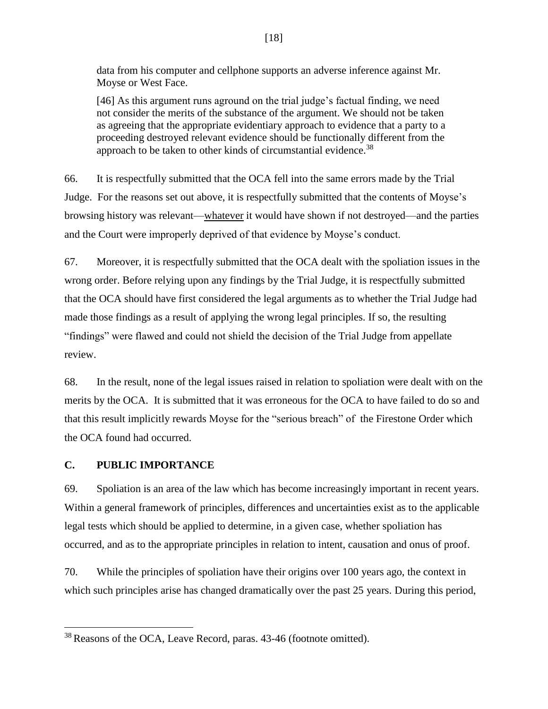data from his computer and cellphone supports an adverse inference against Mr. Moyse or West Face.

[46] As this argument runs aground on the trial judge's factual finding, we need not consider the merits of the substance of the argument. We should not be taken as agreeing that the appropriate evidentiary approach to evidence that a party to a proceeding destroyed relevant evidence should be functionally different from the approach to be taken to other kinds of circumstantial evidence.<sup>38</sup>

66. It is respectfully submitted that the OCA fell into the same errors made by the Trial Judge. For the reasons set out above, it is respectfully submitted that the contents of Moyse's browsing history was relevant—whatever it would have shown if not destroyed—and the parties and the Court were improperly deprived of that evidence by Moyse's conduct.

67. Moreover, it is respectfully submitted that the OCA dealt with the spoliation issues in the wrong order. Before relying upon any findings by the Trial Judge, it is respectfully submitted that the OCA should have first considered the legal arguments as to whether the Trial Judge had made those findings as a result of applying the wrong legal principles. If so, the resulting "findings" were flawed and could not shield the decision of the Trial Judge from appellate review.

68. In the result, none of the legal issues raised in relation to spoliation were dealt with on the merits by the OCA. It is submitted that it was erroneous for the OCA to have failed to do so and that this result implicitly rewards Moyse for the "serious breach" of the Firestone Order which the OCA found had occurred.

# **C. PUBLIC IMPORTANCE**

 $\overline{\phantom{a}}$ 

69. Spoliation is an area of the law which has become increasingly important in recent years. Within a general framework of principles, differences and uncertainties exist as to the applicable legal tests which should be applied to determine, in a given case, whether spoliation has occurred, and as to the appropriate principles in relation to intent, causation and onus of proof.

70. While the principles of spoliation have their origins over 100 years ago, the context in which such principles arise has changed dramatically over the past 25 years. During this period,

<sup>38</sup> Reasons of the OCA, Leave Record, paras. 43-46 (footnote omitted).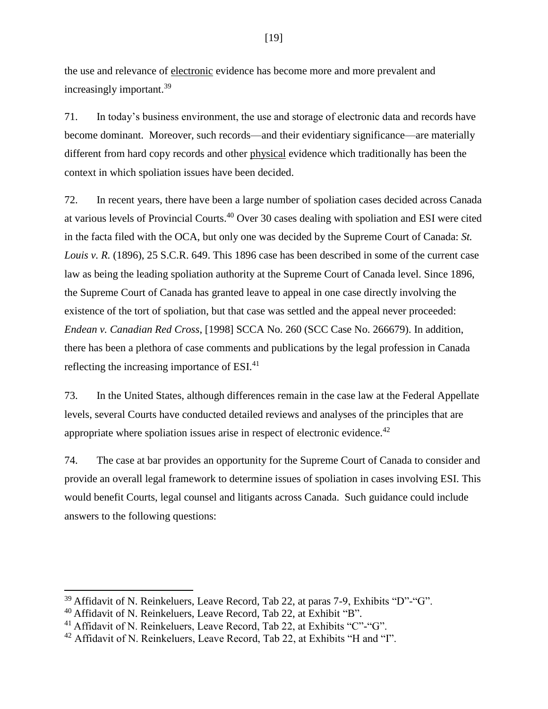the use and relevance of electronic evidence has become more and more prevalent and increasingly important.<sup>39</sup>

71. In today's business environment, the use and storage of electronic data and records have become dominant. Moreover, such records—and their evidentiary significance—are materially different from hard copy records and other physical evidence which traditionally has been the context in which spoliation issues have been decided.

72. In recent years, there have been a large number of spoliation cases decided across Canada at various levels of Provincial Courts.<sup>40</sup> Over 30 cases dealing with spoliation and ESI were cited in the facta filed with the OCA, but only one was decided by the Supreme Court of Canada: *St. Louis v. R.* (1896), 25 S.C.R. 649. This 1896 case has been described in some of the current case law as being the leading spoliation authority at the Supreme Court of Canada level. Since 1896, the Supreme Court of Canada has granted leave to appeal in one case directly involving the existence of the tort of spoliation, but that case was settled and the appeal never proceeded: *Endean v. Canadian Red Cross*, [1998] SCCA No. 260 (SCC Case No. 266679). In addition, there has been a plethora of case comments and publications by the legal profession in Canada reflecting the increasing importance of ESI.<sup>41</sup>

73. In the United States, although differences remain in the case law at the Federal Appellate levels, several Courts have conducted detailed reviews and analyses of the principles that are appropriate where spoliation issues arise in respect of electronic evidence.<sup>42</sup>

74. The case at bar provides an opportunity for the Supreme Court of Canada to consider and provide an overall legal framework to determine issues of spoliation in cases involving ESI. This would benefit Courts, legal counsel and litigants across Canada. Such guidance could include answers to the following questions:

 $\overline{a}$ 

<sup>39</sup> Affidavit of N. Reinkeluers, Leave Record, Tab 22, at paras 7-9, Exhibits "D"-"G".

 $40$  Affidavit of N. Reinkeluers, Leave Record, Tab 22, at Exhibit "B".

<sup>&</sup>lt;sup>41</sup> Affidavit of N. Reinkeluers, Leave Record, Tab 22, at Exhibits "C"-"G".

<sup>&</sup>lt;sup>42</sup> Affidavit of N. Reinkeluers, Leave Record, Tab 22, at Exhibits "H and "I".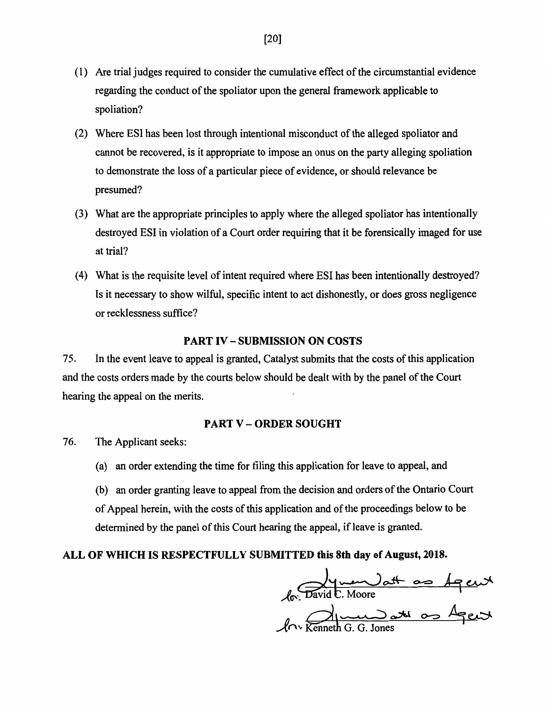- (1) Are trial judges required to consider the cumulative effect of the circumstantial evidence regarding the conduct of the spoliator upon the general framework applicable to spoliation?
- (2) Where ESI has been lost through intentional misconduct of the alleged spoliator and cannot be recovered, is it appropriate to impose an onus on the party alleging spoliation to demonstrate the loss of a particular piece of evidence, or should relevance be presumed?
- (3) What are the appropriate principles to apply where the alleged spoliator has intentionally destroyed ESI in violation of a Court order requiring that it be forensically imaged for use at trial?
- (4) What is the requisite level of intent required where ESI has been intentionally destroyed? Is it necessary to show wilful, specific intent to act dishonestly, or does gross negligence or recklessness suffice?

# PART **IV — SUBMISSION ON COSTS**

75. In the event leave to appeal is granted, Catalyst submits that the costs of this application and the costs orders made by the courts below should be dealt with by the panel of the Court hearing the appeal on the merits.

# PART V — ORDER SOUGHT

- 76. The Applicant seeks:
	- (a) an order extending the time for filing this application for leave to appeal, and
	- (b) an order granting leave to appeal from the decision and orders of the Ontario Court of Appeal herein, with the costs of this application and of the proceedings below to be determined by the panel of this Court hearing the appeal, if leave is granted.

# **ALL OF WHICH IS RESPECTFULLY SUBMITTED this 8th day of August, 2018.**

Aal fo: David C. Moore n  $\mathcal{M}$ <sup> $\sim$ </sup> Kenne  $\mathbb{R}$ G. G. Jones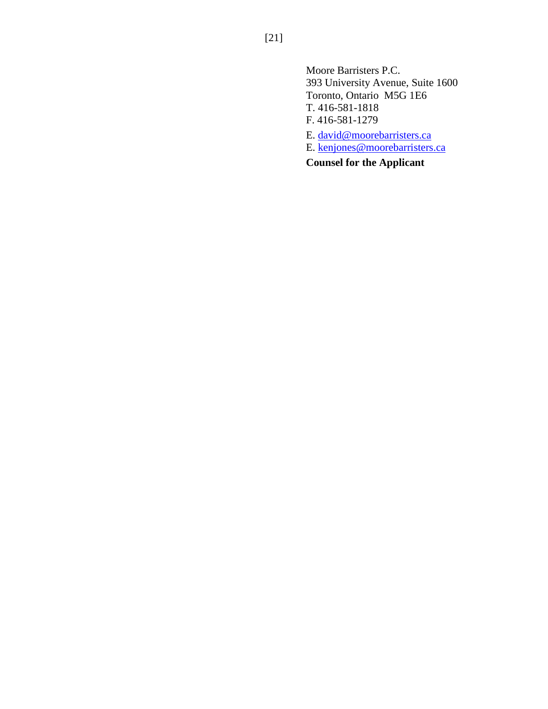Moore Barristers P.C. 393 University Avenue, Suite 1600 Toronto, Ontario M5G 1E6 T. 416-581-1818 F. 416-581-1279

E. [david@moorebarristers.ca](mailto:david@moorebarristers.ca)

E. [kenjones@moorebarristers.ca](mailto:kenjones@moorebarristers.ca)

**Counsel for the Applicant**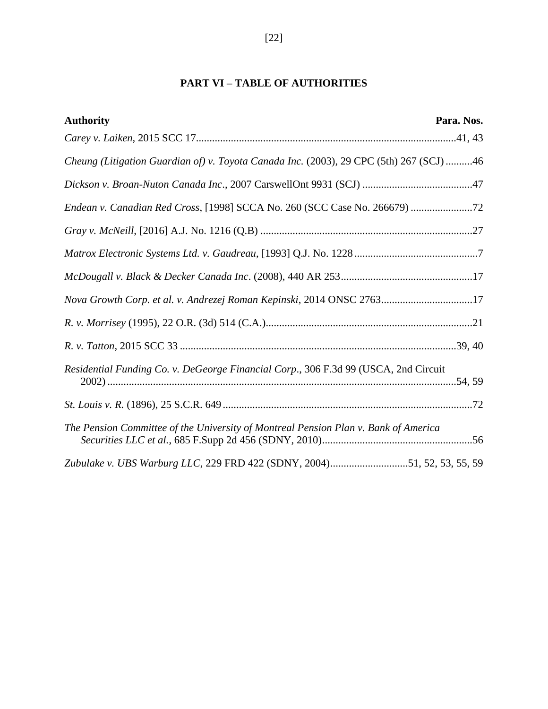# **PART VI – TABLE OF AUTHORITIES**

| <b>Authority</b>                                                                        | Para. Nos. |
|-----------------------------------------------------------------------------------------|------------|
|                                                                                         |            |
| Cheung (Litigation Guardian of) v. Toyota Canada Inc. (2003), 29 CPC (5th) 267 (SCJ) 46 |            |
|                                                                                         |            |
|                                                                                         |            |
|                                                                                         |            |
|                                                                                         |            |
|                                                                                         |            |
| Nova Growth Corp. et al. v. Andrezej Roman Kepinski, 2014 ONSC 276317                   |            |
|                                                                                         |            |
|                                                                                         |            |
| Residential Funding Co. v. DeGeorge Financial Corp., 306 F.3d 99 (USCA, 2nd Circuit     |            |
|                                                                                         |            |
| The Pension Committee of the University of Montreal Pension Plan v. Bank of America     |            |
| Zubulake v. UBS Warburg LLC, 229 FRD 422 (SDNY, 2004)51, 52, 53, 55, 59                 |            |